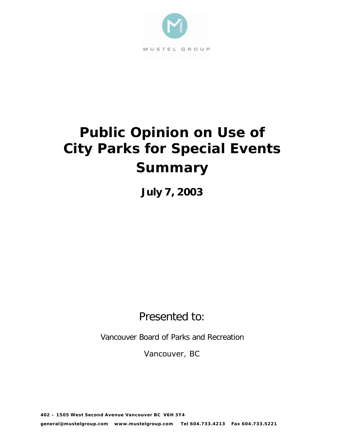

# **Public Opinion on Use of City Parks for Special Events Summary**

**July 7, 2003**

Presented to:

Vancouver Board of Parks and Recreation

Vancouver, BC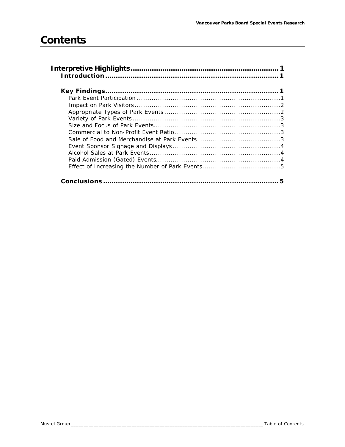# **Contents**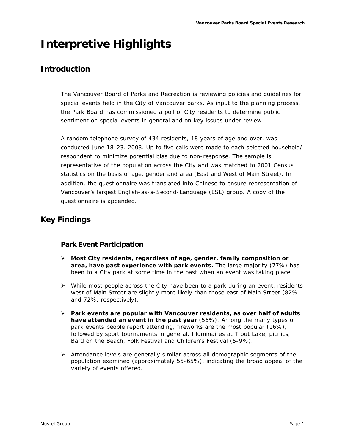# **Interpretive Highlights**

## **Introduction**

The Vancouver Board of Parks and Recreation is reviewing policies and guidelines for special events held in the City of Vancouver parks. As input to the planning process, the Park Board has commissioned a poll of City residents to determine public sentiment on special events in general and on key issues under review.

A random telephone survey of 434 residents, 18 years of age and over, was conducted June 18-23. 2003. Up to five calls were made to each selected household/ respondent to minimize potential bias due to non-response. The sample is representative of the population across the City and was matched to 2001 Census statistics on the basis of age, gender and area (East and West of Main Street). In addition, the questionnaire was translated into Chinese to ensure representation of Vancouver's largest English-as-a-Second-Language (ESL) group. A copy of the questionnaire is appended.

## **Key Findings**

#### *Park Event Participation*

- ÿ **Most City residents, regardless of age, gender, family composition or area, have past experience with park events.** The large majority (77%) has been to a City park at some time in the past when an event was taking place.
- $\triangleright$  While most people across the City have been to a park during an event, residents west of Main Street are slightly more likely than those east of Main Street (82% and 72%, respectively).
- **▶ Park events are popular with Vancouver residents, as over half of adults have attended an event in the past year** (56%). Among the many types of park events people report attending, fireworks are the most popular (16%), followed by sport tournaments in general, Illuminaires at Trout Lake, picnics, Bard on the Beach, Folk Festival and Children's Festival (5-9%).
- $\triangleright$  Attendance levels are generally similar across all demographic segments of the population examined (approximately 55-65%), indicating the broad appeal of the variety of events offered.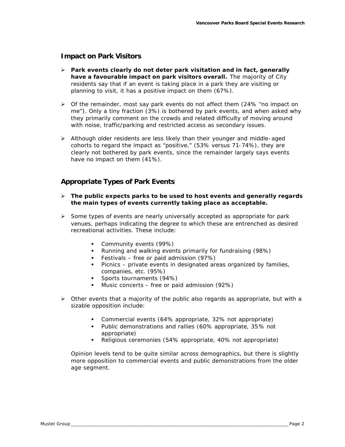#### *Impact on Park Visitors*

- ÿ **Park events clearly do not deter park visitation and in fact, generally have a favourable impact on park visitors overall.** The majority of City residents say that if an event is taking place in a park they are visiting or planning to visit, it has a positive impact on them (67%).
- $\triangleright$  Of the remainder, most say park events do not affect them (24% "no impact on me"). Only a tiny fraction (3%) is bothered by park events, and when asked why they primarily comment on the crowds and related difficulty of moving around with noise, traffic/parking and restricted access as secondary issues.
- $\triangleright$  Although older residents are less likely than their younger and middle-aged cohorts to regard the impact as "positive," (53% versus 71-74%), they are clearly not bothered by park events, since the remainder largely says events have no impact on them (41%).

#### *Appropriate Types of Park Events*

#### ÿ **The public expects parks to be used to host events and generally regards the main types of events currently taking place as acceptable.**

- $\triangleright$  Some types of events are nearly universally accepted as appropriate for park venues, perhaps indicating the degree to which these are entrenched as desired recreational activities. These include:
	- **•** Community events (99%)
	- **•** Running and walking events primarily for fundraising (98%)
	- ß Festivals free or paid admission (97%)
	- **•** Picnics private events in designated areas organized by families, companies, etc. (95%)
	- **Sports tournaments (94%)**
	- **Music concerts free or paid admission (92%)**
- $\triangleright$  Other events that a majority of the public also regards as appropriate, but with a sizable opposition include:
	- **•** Commercial events (64% appropriate, 32% not appropriate)
	- Public demonstrations and rallies (60% appropriate, 35% not appropriate)
	- Religious ceremonies (54% appropriate, 40% not appropriate)

Opinion levels tend to be quite similar across demographics, but there is slightly more opposition to commercial events and public demonstrations from the older age segment.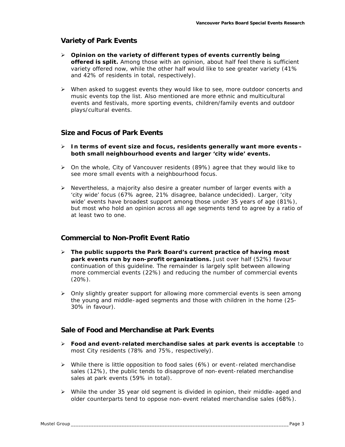#### *Variety of Park Events*

- ÿ **Opinion on the variety of different types of events currently being offered is split.** Among those with an opinion, about half feel there is sufficient variety offered now, while the other half would like to see greater variety (41% and 42% of residents in total, respectively).
- $\triangleright$  When asked to suggest events they would like to see, more outdoor concerts and music events top the list. Also mentioned are more ethnic and multicultural events and festivals, more sporting events, children/family events and outdoor plays/cultural events.

#### *Size and Focus of Park Events*

- ÿ **In terms of event size and focus, residents generally want more events – both small neighbourhood events and larger 'city wide' events.**
- ÿ On the whole, City of Vancouver residents (89%) agree that they would like to see more small events with a neighbourhood focus.
- $\triangleright$  Nevertheless, a majority also desire a greater number of larger events with a 'city wide' focus (67% agree, 21% disagree, balance undecided). Larger, 'city wide' events have broadest support among those under 35 years of age (81%), but most who hold an opinion across all age segments tend to agree by a ratio of at least two to one.

#### *Commercial to Non-Profit Event Ratio*

- ÿ **The public supports the Park Board's current practice of having most park events run by non-profit organizations.** Just over half (52%) favour continuation of this guideline. The remainder is largely split between allowing more commercial events (22%) and reducing the number of commercial events (20%).
- $\triangleright$  Only slightly greater support for allowing more commercial events is seen among the young and middle-aged segments and those with children in the home (25- 30% in favour).

#### *Sale of Food and Merchandise at Park Events*

- ÿ **Food and event-related merchandise sales at park events is acceptable** to most City residents (78% and 75%, respectively).
- $\triangleright$  While there is little opposition to food sales (6%) or event-related merchandise sales (12%), the public tends to disapprove of non-event-related merchandise sales at park events (59% in total).
- $\triangleright$  While the under 35 year old segment is divided in opinion, their middle-aged and older counterparts tend to oppose non-event related merchandise sales (68%).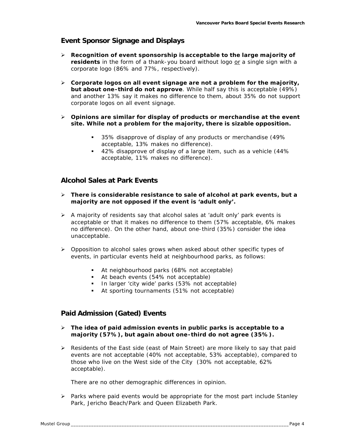#### *Event Sponsor Signage and Displays*

- $\triangleright$  **Recognition of event sponsorship is acceptable to the large majority of** residents in the form of a thank-you board without logo or a single sign with a corporate logo (86% and 77%, respectively).
- $\triangleright$  Corporate logos on all event signage are not a problem for the majority, **but about one-third do not approve**. While half say this is acceptable (49%) and another 13% say it makes no difference to them, about 35% do not support corporate logos on all event signage.
- ÿ **Opinions are similar for display of products or merchandise at the event site. While not a problem for the majority, there is sizable opposition.**
	- **35% disapprove of display of any products or merchandise (49%** acceptable, 13% makes no difference).
	- ß 42% disapprove of display of a large item, such as a vehicle (44% acceptable, 11% makes no difference).

#### *Alcohol Sales at Park Events*

- ÿ **There is considerable resistance to sale of alcohol at park events, but a majority are not opposed if the event is 'adult only'.**
- $\triangleright$  A majority of residents say that alcohol sales at 'adult only' park events is acceptable or that it makes no difference to them (57% acceptable, 6% makes no difference). On the other hand, about one-third (35%) consider the idea unacceptable.
- $\triangleright$  Opposition to alcohol sales grows when asked about other specific types of events, in particular events held at neighbourhood parks, as follows:
	- **At neighbourhood parks (68% not acceptable)**
	- At beach events (54% not acceptable)
	- **In larger 'city wide' parks (53% not acceptable)**
	- **At sporting tournaments (51% not acceptable)**

#### *Paid Admission (Gated) Events*

- ÿ **The idea of paid admission events in public parks is acceptable to a majority (57%), but again about one-third do not agree (35%).**
- $\triangleright$  Residents of the East side (east of Main Street) are more likely to say that paid events are not acceptable (40% not acceptable, 53% acceptable), compared to those who live on the West side of the City (30% not acceptable, 62% acceptable).

There are no other demographic differences in opinion.

 $\triangleright$  Parks where paid events would be appropriate for the most part include Stanley Park, Jericho Beach/Park and Queen Elizabeth Park.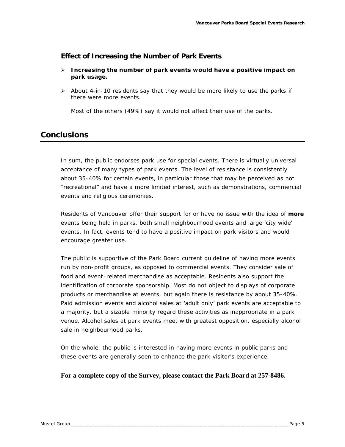#### *Effect of Increasing the Number of Park Events*

- ÿ **Increasing the number of park events would have a positive impact on park usage.**
- $\triangleright$  About 4-in-10 residents say that they would be more likely to use the parks if there were more events.

Most of the others (49%) say it would not affect their use of the parks.

### **Conclusions**

In sum, the public endorses park use for special events. There is virtually universal acceptance of many types of park events. The level of resistance is consistently about 35-40% for certain events, in particular those that may be perceived as not "recreational" and have a more limited interest, such as demonstrations, commercial events and religious ceremonies.

Residents of Vancouver offer their support for or have no issue with the idea of *more* events being held in parks, both small neighbourhood events and large 'city wide' events. In fact, events tend to have a positive impact on park visitors and would encourage greater use.

The public is supportive of the Park Board current guideline of having more events run by non-profit groups, as opposed to commercial events. They consider sale of food and event-related merchandise as acceptable. Residents also support the identification of corporate sponsorship. Most do not object to displays of corporate products or merchandise at events, but again there is resistance by about 35-40%. Paid admission events and alcohol sales at 'adult only' park events are acceptable to a majority, but a sizable minority regard these activities as inappropriate in a park venue. Alcohol sales at park events meet with greatest opposition, especially alcohol sale in neighbourhood parks.

On the whole, the public is interested in having more events in public parks and these events are generally seen to enhance the park visitor's experience.

#### **For a complete copy of the Survey, please contact the Park Board at 257-8486.**